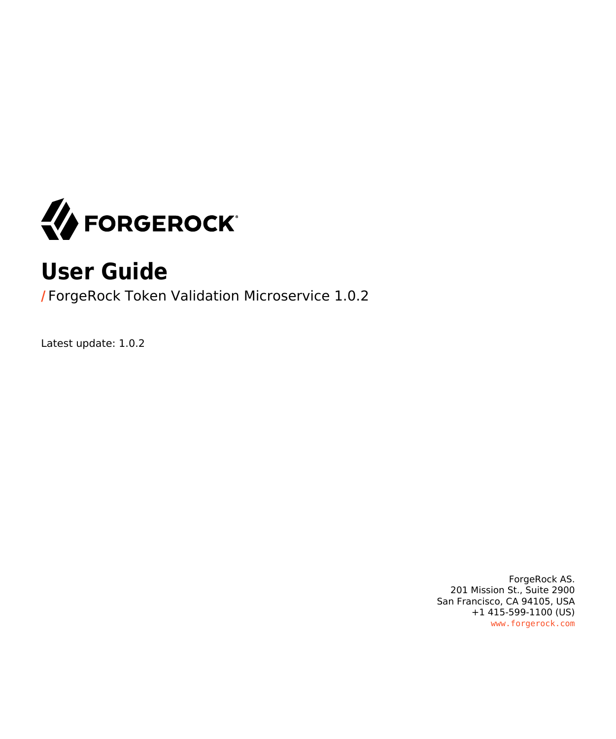

# **User Guide**

**/** ForgeRock Token Validation Microservice 1.0.2

Latest update: 1.0.2

ForgeRock AS. 201 Mission St., Suite 2900 San Francisco, CA 94105, USA +1 415-599-1100 (US) www.forgerock.com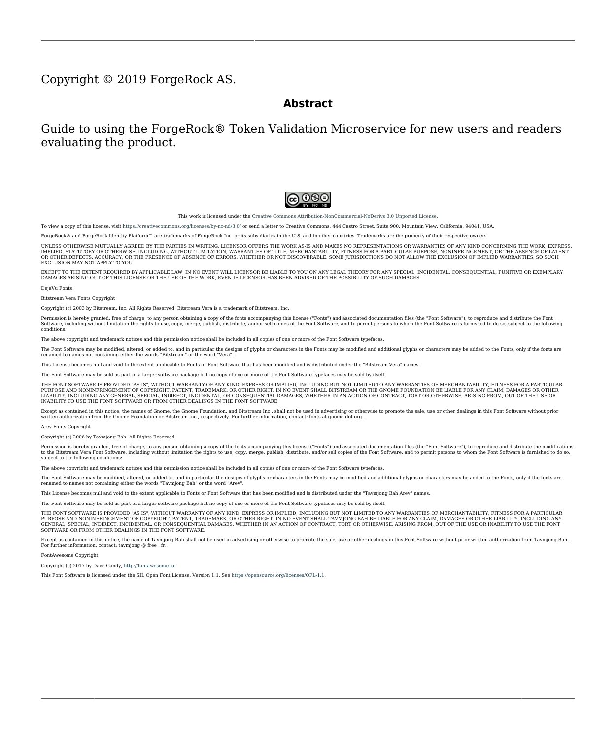#### Copyright © 2019 ForgeRock AS.

#### **Abstract**

Guide to using the ForgeRock® Token Validation Microservice for new users and readers evaluating the product.



This work is licensed under the Creative Commons Attribution-NonCommercial-NoDerivs 3.0 Unported Lice

To view a copy of this license, visit <https://creativecommons.org/licenses/by-nc-nd/3.0/> or send a letter to Creative Commons, 444 Castro Street, Suite 900, Mountain View, California, 94041, USA.

ForgeRock® and ForgeRock Identity Platform™ are trademarks of ForgeRock Inc. or its subsidiaries in the U.S. and in other countries. Trademarks are the property of their re

UNLESS OTHERWISE MUTUALLY AGREED BY THE PARTIES IN WRITNG, LICENSOR OFFERS THE WORK ASLES OF ARRESENTATIONS OR WARRANTIES OF ANY KNR ACTONOMENT OF A THE ASSENCE OF A THE ABSENCE OF A TH<br>IMPLIED, STATUTORY OR OTHERWISE, INC OR OTHER DEFECTS, ACCURACY, OR THE PRESENCE OF ABSENCE OF ERRORS, WHETHER OR NOT DISCOVERABLE. SOME JURISDICTIONS DO NOT ALLOW THE EXCLUSION OF IMPLIED WARRANTIES, SO SUCH EXCLUSION MAY NOT APPLY TO YOU.

EXCEPT TO THE EXTENT REQUIRED BY APPLICABLE LAW, IN NO EVENT WILL LICENSOR BE LIABLE TO YOU ON ANY LEGAL THEORY FOR ANY ISLOCKERT ALLOCATED TO THE STATE ON SERVENTIAL, PONCE OUR EXEMPLARY CONSEQUENTIAL, PONTIVE OR EXEMPLAR

DejaVu Fonts

Bitstream Vera Fonts Copyright

Copyright (c) 2003 by Bitstream, Inc. All Rights Reserved. Bitstream Vera is a trademark of Bitstream, Inc.

Permission is hereby granted, free of charge, to any person obtaining a copy of the fonts accompanying this license ("Fonts") and associated documentation files ("hent Font Software, including without instanded to do so, s condition

re copyright and trademark notices and this permission notice shall be included in all copies of one or more of the Font Software typefaces.

The Font Software may be modified, altered, or added to, and in particular the designs of glyphs or characters in the Fonts may be modified and additional glyphs or characters may be added to the Fonts, only if the fonts a renamed to names not containing either the words "Bitstream" or the word "Vera".

This License becomes null and void to the extent applicable to Fonts or Font Software that has been modified and is distributed under the "Bitstream Vera" names.

The Font Software may be sold as part of a larger software package but no copy of one or more of the Font Software typefaces may be sold by itself.

THE FONT SOFTWARE IS PROVIDED "AS IS", WTHOUT WARRANTY OF ANY KIND, EXPRESS OR IMPLIED, MALRO THO AN MONTARRANTIES OF MERCHANTABILITY, FITNESS FOR A PARTO THE SOFT A PARTICULARY IN THE GROME FOR ANY CLAIM, DAMAGES OR OTHER LIABILITY, INCLUDING ANY GENERAL, SPECIAL, INDIRECT, INCLOSTED AND ANGERET AND ARRELLY MAN ACTION OF CONTRACT, TORT OR OTHERWISE, ARISING FROM, OUT OF THE USE OR<br>INABILITY TO USE THE FONT SOFTWARE OR FROM OTHER DEALINGS IN

Except as contained in this notice, the names of Gnome, the Gnome Foundation, and Bitstream Inc., shall not be used in advertising or otherwise to promote the sale, use or other dealings in this Font Software without prior

Arev Fonts Copyright

Copyright (c) 2006 by Tavmjong Bah. All Rights Reserved.

Permission is hereby granted, free of charge, to any person obtaining a copy of the fonts accompanying this license ("Fonts") and associated documentation files (the "Font Software"), to reproduce and distribute the modifi to the Bitstream Vera Font Software, including without limitation the rights to use, copy, merge, publish, distribute, and/or sell copies of the Font Software, and to permit persons to whom the Font Software is furnished t

we copyright and trademark notices and this permission notice shall be included in all copies of one or more of the Font Software typefaces.

The Font Software may be modified, altered, or added to, and in particular the designs of glyphs or characters in the Fonts may be modified and additional glyphs or characters may be added to the Fonts, only if the fonts a

This License becomes null and void to the extent applicable to Fonts or Font Software that has been modified and is distributed under the "Tavmjong Bah Arev" names.

The Font Software may be sold as part of a larger software package but no copy of one or more of the Font Software typefaces may be sold by itself.

THE FONT SOFTWARE IS PROVIDED "AS IS", WITHOUT WARRANTY OF ANY KIND, EXPRESS OR IMPLIED, INCLUDING BUT NOT LIMITED TO ANY WARRANTIES OF MERCHANTABILITY, FITNESS FOR A PARTICULAR PURPOSE AND NONINFRINGEMENT OF COPYRIGHT, PATENT, TRADEMARK, OR OTHER RIGHT. IN NO EVENT SHALL TAVMJONG BAH BE LIABLE FOR ANY CLAIM, DAMAGES OR OTHER LIABILITY, INCLUDING ANY<br>GENERAL, SPECIAL, INDIRECT, INCIDENTAL, OR CONS

Except as contained in this notice, the name of Tavmjong Bah shall not be used in advertising or otherwise to promote the sale, use or other dealings in this Font Software without prior written authorization from Tavmjong For further information, contact: tavmjong @ free . fr.

FontAwesome Copyright

Copyright (c) 2017 by Dave Gandy, [http://fontawesome.io.](http://fontawesome.io)

This Font Software is licensed under the SIL Open Font License, Version 1.1. See<https://opensource.org/licenses/OFL-1.1>.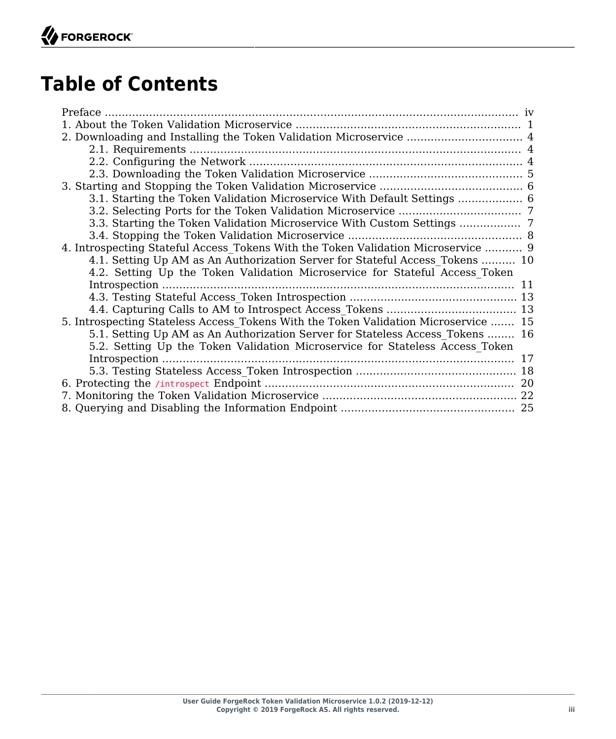# **Table of Contents**

| 2. Downloading and Installing the Token Validation Microservice  4                  |  |
|-------------------------------------------------------------------------------------|--|
|                                                                                     |  |
|                                                                                     |  |
|                                                                                     |  |
|                                                                                     |  |
| 3.1. Starting the Token Validation Microservice With Default Settings  6            |  |
|                                                                                     |  |
|                                                                                     |  |
|                                                                                     |  |
| 4. Introspecting Stateful Access Tokens With the Token Validation Microservice  9   |  |
| 4.1. Setting Up AM as An Authorization Server for Stateful Access Tokens  10        |  |
| 4.2. Setting Up the Token Validation Microservice for Stateful Access Token         |  |
|                                                                                     |  |
|                                                                                     |  |
|                                                                                     |  |
| 5. Introspecting Stateless Access Tokens With the Token Validation Microservice  15 |  |
| 5.1. Setting Up AM as An Authorization Server for Stateless Access Tokens  16       |  |
| 5.2. Setting Up the Token Validation Microservice for Stateless Access Token        |  |
|                                                                                     |  |
|                                                                                     |  |
|                                                                                     |  |
|                                                                                     |  |
|                                                                                     |  |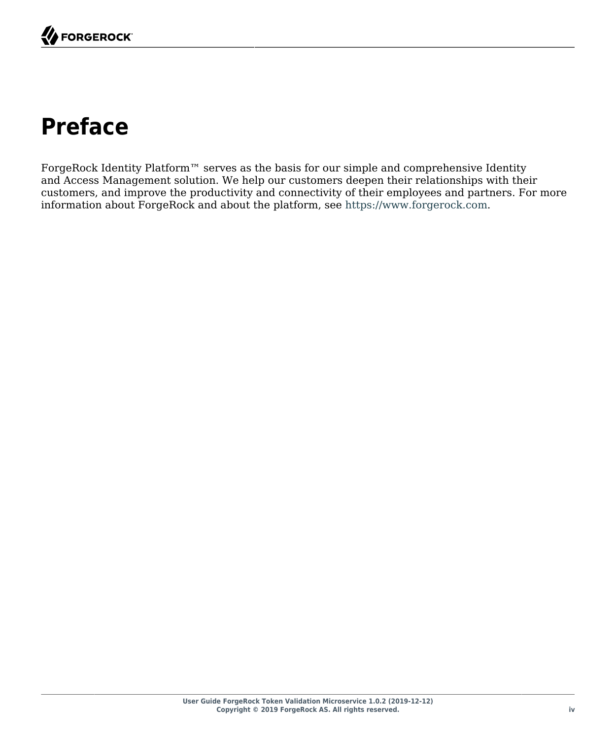# <span id="page-3-0"></span>**Preface**

ForgeRock Identity Platform™ serves as the basis for our simple and comprehensive Identity and Access Management solution. We help our customers deepen their relationships with their customers, and improve the productivity and connectivity of their employees and partners. For more information about ForgeRock and about the platform, see <https://www.forgerock.com>.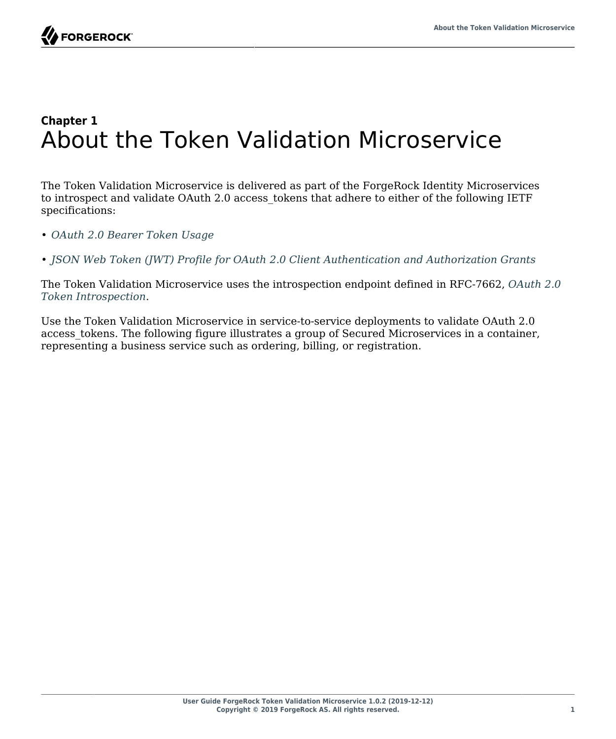#### <span id="page-4-0"></span>**Chapter 1** About the Token Validation Microservice

The Token Validation Microservice is delivered as part of the ForgeRock Identity Microservices to introspect and validate OAuth 2.0 access\_tokens that adhere to either of the following IETF specifications:

• *[OAuth 2.0 Bearer Token Usage](https://tools.ietf.org/html/rfc6750)*

• *[JSON Web Token \(JWT\) Profile for OAuth 2.0 Client Authentication and Authorization Grants](https://tools.ietf.org/html/rfc7523.txt)*

The Token Validation Microservice uses the introspection endpoint defined in RFC-7662, *[OAuth 2.0](https://tools.ietf.org/html/rfc7662) [Token Introspection](https://tools.ietf.org/html/rfc7662)*.

Use the Token Validation Microservice in service-to-service deployments to validate OAuth 2.0 access tokens. The following figure illustrates a group of Secured Microservices in a container, representing a business service such as ordering, billing, or registration.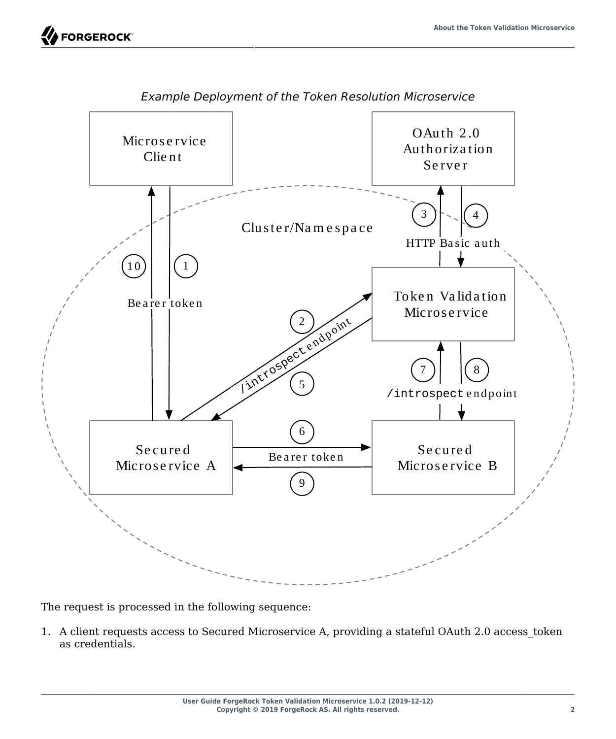**FORGEROCK** 

<span id="page-5-0"></span>

*Example Deployment of the Token Resolution Microservice*

The request is processed in the following sequence:

1. A client requests access to Secured Microservice A, providing a stateful OAuth 2.0 access token as credentials.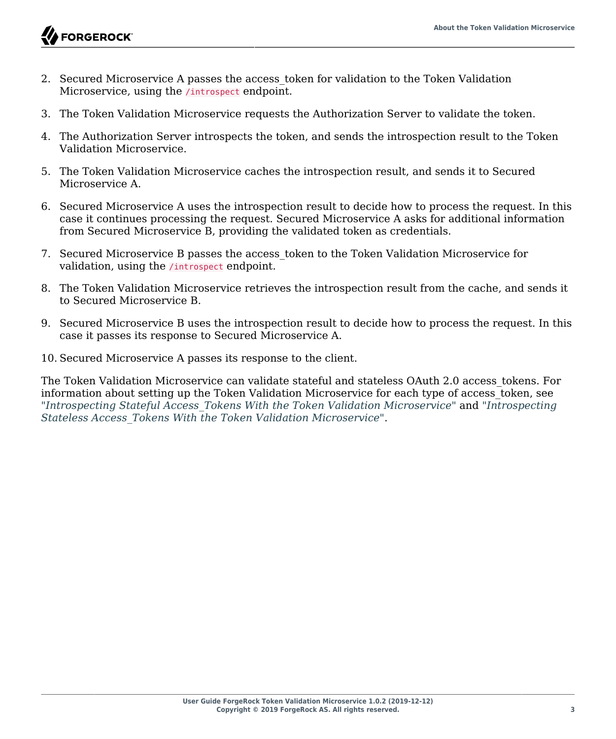

- 2. Secured Microservice A passes the access token for validation to the Token Validation Microservice, using the /introspect endpoint.
- 3. The Token Validation Microservice requests the Authorization Server to validate the token.
- 4. The Authorization Server introspects the token, and sends the introspection result to the Token Validation Microservice.
- 5. The Token Validation Microservice caches the introspection result, and sends it to Secured Microservice A.
- 6. Secured Microservice A uses the introspection result to decide how to process the request. In this case it continues processing the request. Secured Microservice A asks for additional information from Secured Microservice B, providing the validated token as credentials.
- 7. Secured Microservice B passes the access\_token to the Token Validation Microservice for validation, using the /introspect endpoint.
- 8. The Token Validation Microservice retrieves the introspection result from the cache, and sends it to Secured Microservice B.
- 9. Secured Microservice B uses the introspection result to decide how to process the request. In this case it passes its response to Secured Microservice A.
- 10. Secured Microservice A passes its response to the client.

The Token Validation Microservice can validate stateful and stateless OAuth 2.0 access\_tokens. For information about setting up the Token Validation Microservice for each type of access\_token, see "*[Introspecting Stateful Access\\_Tokens With the Token Validation Microservice](#page-12-0)*" and "*[Introspecting](#page-18-0) [Stateless Access\\_Tokens With the Token Validation Microservice](#page-18-0)*".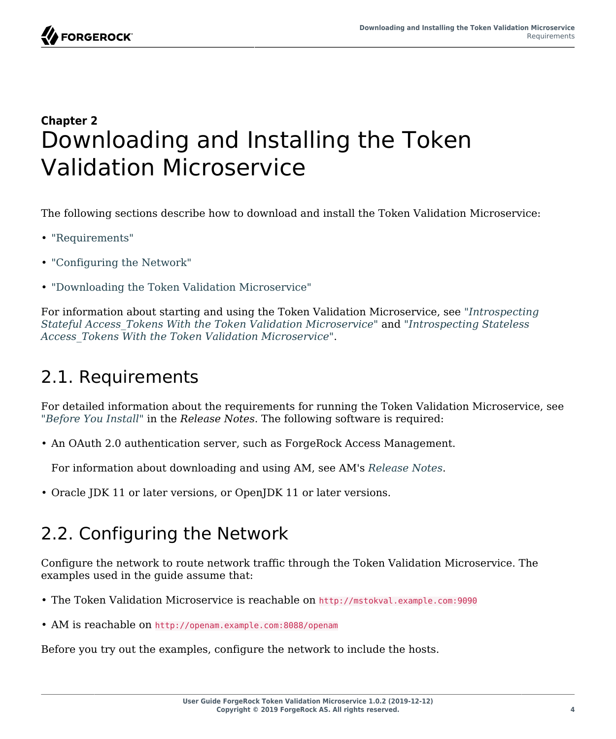

### <span id="page-7-0"></span>**Chapter 2** Downloading and Installing the Token Validation Microservice

The following sections describe how to download and install the Token Validation Microservice:

- ["Requirements"](#page-7-1)
- ["Configuring the Network"](#page-7-2)
- ["Downloading the Token Validation Microservice"](#page-8-0)

For information about starting and using the Token Validation Microservice, see "*[Introspecting](#page-12-0) [Stateful Access\\_Tokens With the Token Validation Microservice](#page-12-0)*" and "*[Introspecting Stateless](#page-18-0) [Access\\_Tokens With the Token Validation Microservice](#page-18-0)*".

#### <span id="page-7-1"></span>2.1. Requirements

For detailed information about the requirements for running the Token Validation Microservice, see "*Before You Install*" in the *Release Notes*. The following software is required:

• An OAuth 2.0 authentication server, such as ForgeRock Access Management.

For information about downloading and using AM, see AM's *[Release Notes](https://backstage.forgerock.com/docs/am/6.5/release-notes/)*.

<span id="page-7-2"></span>• Oracle JDK 11 or later versions, or OpenJDK 11 or later versions.

## 2.2. Configuring the Network

Configure the network to route network traffic through the Token Validation Microservice. The examples used in the guide assume that:

- The Token Validation Microservice is reachable on http://mstokval.example.com:9090
- AM is reachable on http://openam.example.com:8088/openam

Before you try out the examples, configure the network to include the hosts.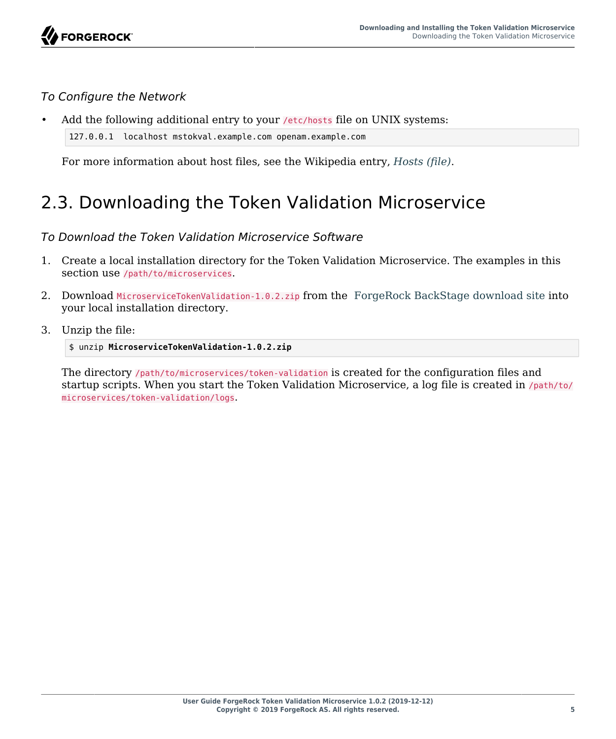#### *To Configure the Network*

```
Add the following additional entry to your /etc/hosts file on UNIX systems:
```

```
127.0.0.1 localhost mstokval.example.com openam.example.com
```
For more information about host files, see the Wikipedia entry, *[Hosts \(file\)](http://en.wikipedia.org/wiki/Hosts_(file))*.

# <span id="page-8-0"></span>2.3. Downloading the Token Validation Microservice

*To Download the Token Validation Microservice Software*

- 1. Create a local installation directory for the Token Validation Microservice. The examples in this section use /path/to/microservices.
- 2. Download MicroserviceTokenValidation-1.0.2.zip from the [ForgeRock BackStage download site](https://backstage.forgerock.com/downloads/browse/ig/latest) into your local installation directory.
- 3. Unzip the file:

\$ unzip **MicroserviceTokenValidation-1.0.2.zip**

The directory /path/to/microservices/token-validation is created for the configuration files and startup scripts. When you start the Token Validation Microservice, a log file is created in /path/to/ microservices/token-validation/logs.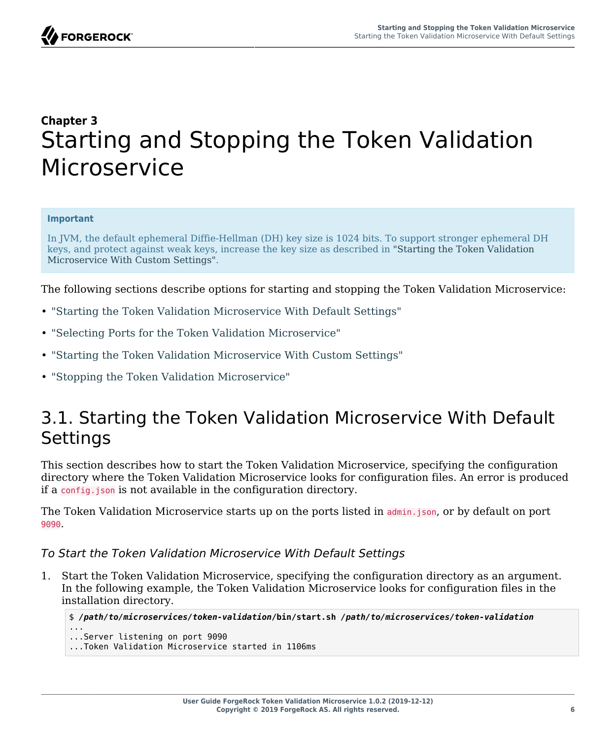## <span id="page-9-0"></span>**Chapter 3** Starting and Stopping the Token Validation Microservice

#### **Important**

In JVM, the default ephemeral Diffie-Hellman (DH) key size is 1024 bits. To support stronger ephemeral DH keys, and protect against weak keys, increase the key size as described in ["Starting the Token Validation](#page-10-1) [Microservice With Custom Settings"](#page-10-1).

The following sections describe options for starting and stopping the Token Validation Microservice:

- ["Starting the Token Validation Microservice With Default Settings"](#page-9-1)
- ["Selecting Ports for the Token Validation Microservice"](#page-10-0)
- ["Starting the Token Validation Microservice With Custom Settings"](#page-10-1)
- <span id="page-9-1"></span>• ["Stopping the Token Validation Microservice"](#page-11-0)

#### 3.1. Starting the Token Validation Microservice With Default Settings

This section describes how to start the Token Validation Microservice, specifying the configuration directory where the Token Validation Microservice looks for configuration files. An error is produced if a config.json is not available in the configuration directory.

The Token Validation Microservice starts up on the ports listed in admin.json, or by default on port 9090.

#### *To Start the Token Validation Microservice With Default Settings*

1. Start the Token Validation Microservice, specifying the configuration directory as an argument. In the following example, the Token Validation Microservice looks for configuration files in the installation directory.

```
$ /path/to/microservices/token-validation/bin/start.sh /path/to/microservices/token-validation
```
... ...Server listening on port 9090

...Token Validation Microservice started in 1106ms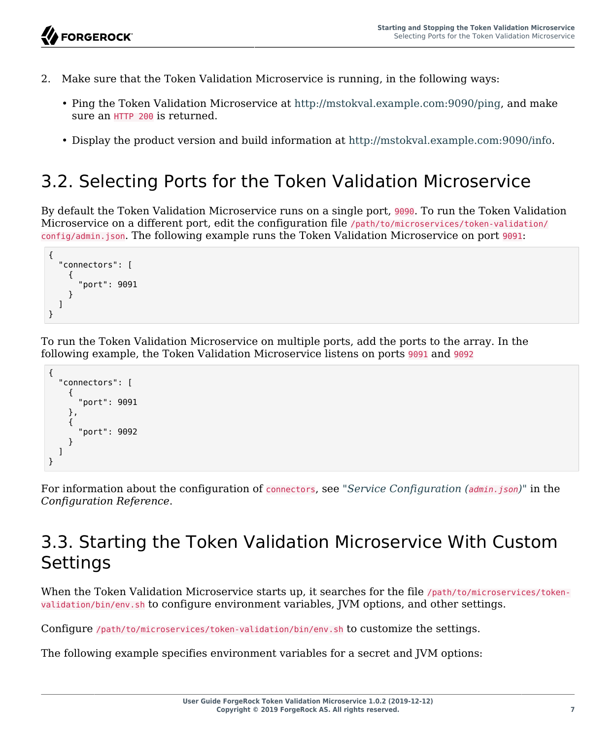- 2. Make sure that the Token Validation Microservice is running, in the following ways:
	- Ping the Token Validation Microservice at [http://mstokval.example.com:9090/ping,](http://mstokval.example.com:9090/ping) and make sure an HTTP 200 is returned.
	- Display the product version and build information at [http://mstokval.example.com:9090/info.](http://mstokval.example.com:9090/info)

# <span id="page-10-0"></span>3.2. Selecting Ports for the Token Validation Microservice

By default the Token Validation Microservice runs on a single port, 9090. To run the Token Validation Microservice on a different port, edit the configuration file /path/to/microservices/token-validation/ config/admin.json. The following example runs the Token Validation Microservice on port 9091:

```
{
   "connectors": [
      {
         "port": 9091
      }
   ]
}
```
To run the Token Validation Microservice on multiple ports, add the ports to the array. In the following example, the Token Validation Microservice listens on ports 9091 and 9092

```
{
    "connectors": [
\overline{\mathcal{A}} "port": 9091
       },
       {
           "port": 9092
       }
    ]
}
```
For information about the configuration of connectors, see "*Service Configuration (admin.json)*" in the *Configuration Reference*.

## <span id="page-10-1"></span>3.3. Starting the Token Validation Microservice With Custom **Settings**

When the Token Validation Microservice starts up, it searches for the file /path/to/microservices/tokenvalidation/bin/env.sh to configure environment variables, JVM options, and other settings.

Configure /path/to/microservices/token-validation/bin/env.sh to customize the settings.

The following example specifies environment variables for a secret and JVM options: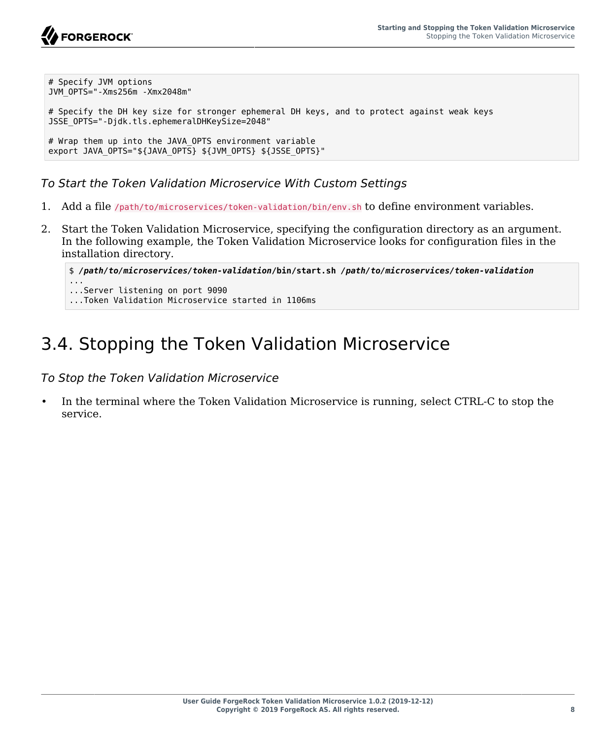```
# Specify JVM options
JVM_OPTS="-Xms256m -Xmx2048m"
# Specify the DH key size for stronger ephemeral DH keys, and to protect against weak keys
JSSE_OPTS="-Djdk.tls.ephemeralDHKeySize=2048"
# Wrap them up into the JAVA OPTS environment variable
export JAVA_OPTS="${JAVA_OPTS} ${JVM_OPTS} ${JSSE_OPTS}"
```
*To Start the Token Validation Microservice With Custom Settings*

- 1. Add a file /path/to/microservices/token-validation/bin/env.sh to define environment variables.
- 2. Start the Token Validation Microservice, specifying the configuration directory as an argument. In the following example, the Token Validation Microservice looks for configuration files in the installation directory.

```
$ /path/to/microservices/token-validation/bin/start.sh /path/to/microservices/token-validation
...
...Server listening on port 9090
...Token Validation Microservice started in 1106ms
```
# <span id="page-11-0"></span>3.4. Stopping the Token Validation Microservice

*To Stop the Token Validation Microservice*

• In the terminal where the Token Validation Microservice is running, select CTRL-C to stop the service.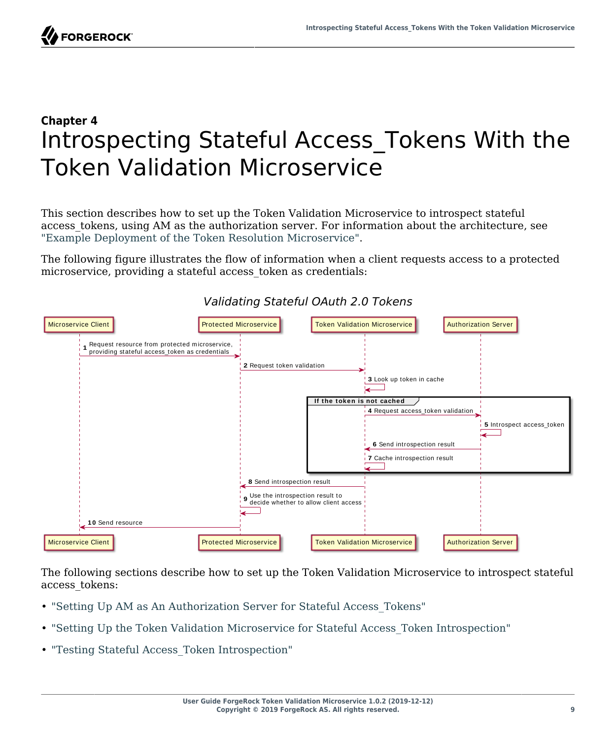

## <span id="page-12-0"></span>**Chapter 4** Introspecting Stateful Access\_Tokens With the Token Validation Microservice

This section describes how to set up the Token Validation Microservice to introspect stateful access tokens, using AM as the authorization server. For information about the architecture, see ["Example Deployment of the Token Resolution Microservice"](#page-5-0).

The following figure illustrates the flow of information when a client requests access to a protected microservice, providing a stateful access\_token as credentials:



#### *Validating Stateful OAuth 2.0 Tokens*

The following sections describe how to set up the Token Validation Microservice to introspect stateful access\_tokens:

- ["Setting Up AM as An Authorization Server for Stateful Access\\_Tokens"](#page-13-0)
- "Setting Up the Token Validation Microservice for Stateful Access Token Introspection"
- ["Testing Stateful Access\\_Token Introspection"](#page-16-0)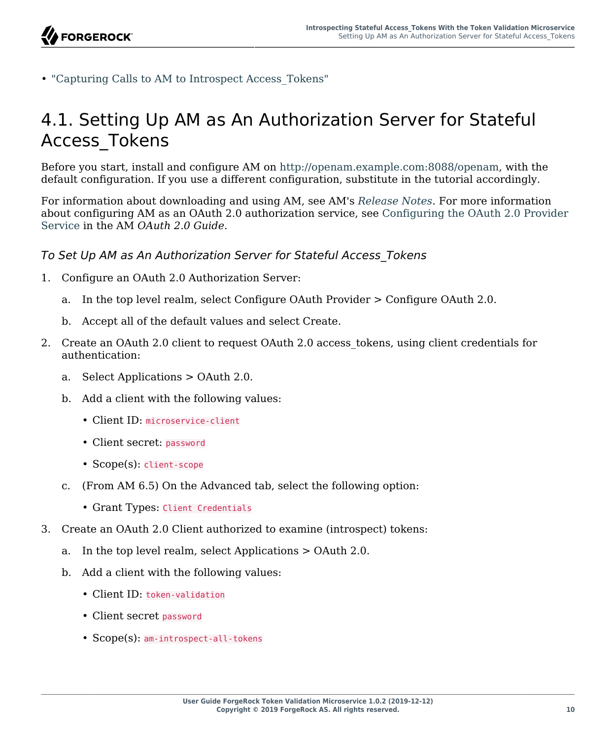

<span id="page-13-0"></span>• ["Capturing Calls to AM to Introspect Access\\_Tokens"](#page-16-1)

### 4.1. Setting Up AM as An Authorization Server for Stateful Access\_Tokens

Before you start, install and configure AM on<http://openam.example.com:8088/openam>, with the default configuration. If you use a different configuration, substitute in the tutorial accordingly.

For information about downloading and using AM, see AM's *[Release Notes](https://backstage.forgerock.com/docs/am/6.5/release-notes/)*. For more information about configuring AM as an OAuth 2.0 authorization service, see [Configuring the OAuth 2.0 Provider](https://backstage.forgerock.com/docs/am/6.5/oauth2-guide/#chap-oauth2-implementation) [Service](https://backstage.forgerock.com/docs/am/6.5/oauth2-guide/#chap-oauth2-implementation) in the AM *OAuth 2.0 Guide*.

#### *To Set Up AM as An Authorization Server for Stateful Access\_Tokens*

- 1. Configure an OAuth 2.0 Authorization Server:
	- a. In the top level realm, select Configure OAuth Provider > Configure OAuth 2.0.
	- b. Accept all of the default values and select Create.
- 2. Create an OAuth 2.0 client to request OAuth 2.0 access tokens, using client credentials for authentication:
	- a. Select Applications > OAuth 2.0.
	- b. Add a client with the following values:
		- Client ID: microservice-client
		- Client secret: password
		- Scope(s): client-scope
	- c. (From AM 6.5) On the Advanced tab, select the following option:
		- Grant Types: Client Credentials
- 3. Create an OAuth 2.0 Client authorized to examine (introspect) tokens:
	- a. In the top level realm, select Applications > OAuth 2.0.
	- b. Add a client with the following values:
		- Client ID: token-validation
		- Client secret password
		- Scope(s): am-introspect-all-tokens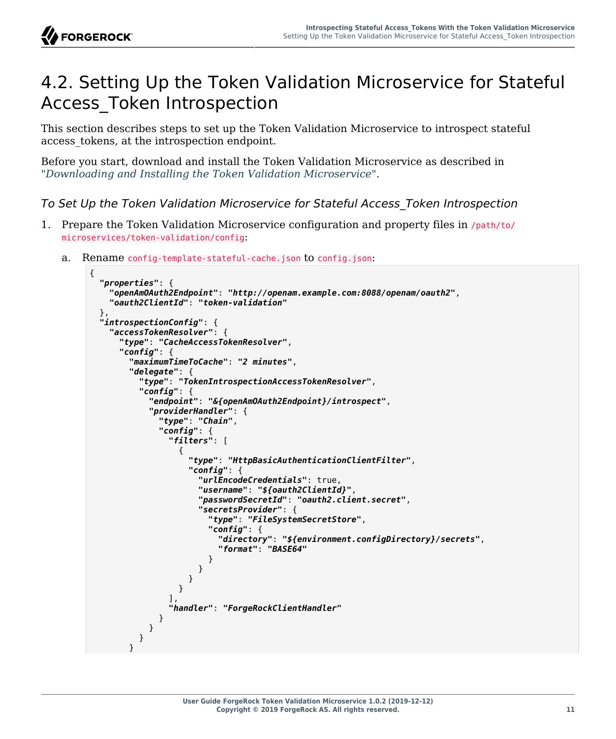

#### <span id="page-14-0"></span>4.2. Setting Up the Token Validation Microservice for Stateful Access\_Token Introspection

This section describes steps to set up the Token Validation Microservice to introspect stateful access\_tokens, at the introspection endpoint.

Before you start, download and install the Token Validation Microservice as described in "*[Downloading and Installing the Token Validation Microservice](#page-7-0)*".

*To Set Up the Token Validation Microservice for Stateful Access\_Token Introspection*

- 1. Prepare the Token Validation Microservice configuration and property files in /path/to/ microservices/token-validation/config:
	- a. Rename config-template-stateful-cache.json to config.json:

```
{
   "properties": {
     "openAmOAuth2Endpoint": "http://openam.example.com:8088/openam/oauth2",
     "oauth2ClientId": "token-validation"
  },
   "introspectionConfig": {
     "accessTokenResolver": {
        "type": "CacheAccessTokenResolver",
        "config": {
          "maximumTimeToCache": "2 minutes",
          "delegate": {
             "type": "TokenIntrospectionAccessTokenResolver",
             "config": {
               "endpoint": "&{openAmOAuth2Endpoint}/introspect",
               "providerHandler": {
                 "type": "Chain",
                 "config": {
                    "filters": [
\{ "type": "HttpBasicAuthenticationClientFilter",
                        "config": {
                           "urlEncodeCredentials": true,
                          "username": "${oauth2ClientId}",
                          "passwordSecretId": "oauth2.client.secret",
                          "secretsProvider": {
                              "type": "FileSystemSecretStore",
                             "config": {
                                "directory": "${environment.configDirectory}/secrets",
                               "format": "BASE64"
denotes the contract of the contract of the contract of the contract of the contract of the contract of the con
denotes the contract of the second property of the second property of the second property of the second proper
}<br>}<br>{}
}<br>}
, the contract of \mathbb{I} , \mathbb{I} "handler": "ForgeRockClientHandler"
 }
           \begin{matrix} \end{matrix} }
 }
```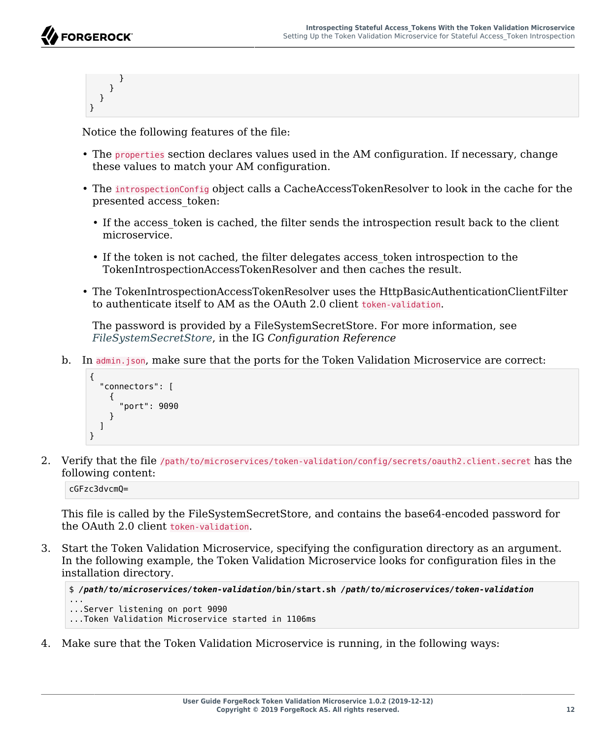```
 }
         }
     }
}
```
Notice the following features of the file:

- The properties section declares values used in the AM configuration. If necessary, change these values to match your AM configuration.
- The introspectionConfig object calls a CacheAccessTokenResolver to look in the cache for the presented access\_token:
	- If the access token is cached, the filter sends the introspection result back to the client microservice.
	- If the token is not cached, the filter delegates access\_token introspection to the TokenIntrospectionAccessTokenResolver and then caches the result.
- The TokenIntrospectionAccessTokenResolver uses the HttpBasicAuthenticationClientFilter to authenticate itself to AM as the OAuth 2.0 client token-validation.

The password is provided by a FileSystemSecretStore. For more information, see *[FileSystemSecretStore](https://backstage.forgerock.com/docs/ig/6.5/reference/#FileSystemSecretStore)*, in the IG *Configuration Reference*

b. In admin.json, make sure that the ports for the Token Validation Microservice are correct:

```
{
   "connectors": [
\{ \{ \} "port": 9090
      }
   ]
}
```
2. Verify that the file /path/to/microservices/token-validation/config/secrets/oauth2.client.secret has the following content:

cGFzc3dvcmQ=

This file is called by the FileSystemSecretStore, and contains the base64-encoded password for the OAuth 2.0 client token-validation.

3. Start the Token Validation Microservice, specifying the configuration directory as an argument. In the following example, the Token Validation Microservice looks for configuration files in the installation directory.

```
$ /path/to/microservices/token-validation/bin/start.sh /path/to/microservices/token-validation
```
... ...Server listening on port 9090

- ...Token Validation Microservice started in 1106ms
- 4. Make sure that the Token Validation Microservice is running, in the following ways: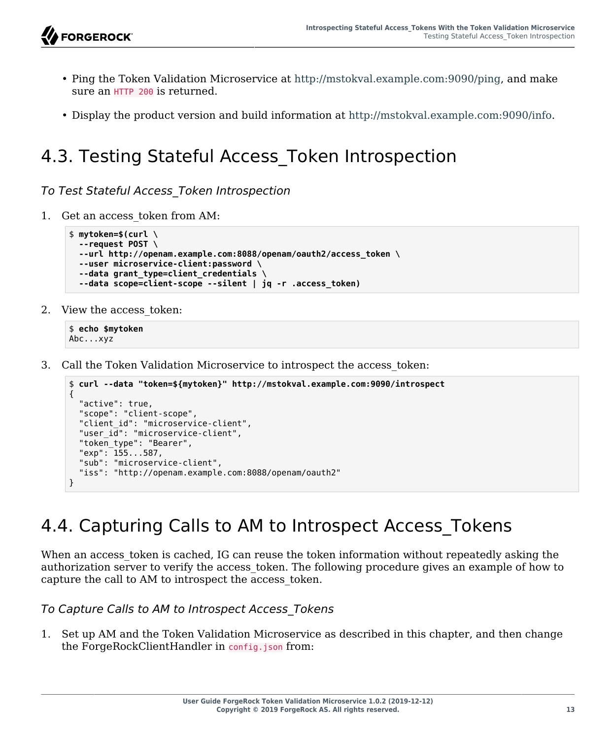- Ping the Token Validation Microservice at [http://mstokval.example.com:9090/ping,](http://mstokval.example.com:9090/ping) and make sure an HTTP 200 is returned.
- Display the product version and build information at [http://mstokval.example.com:9090/info.](http://mstokval.example.com:9090/info)

## <span id="page-16-0"></span>4.3. Testing Stateful Access\_Token Introspection

*To Test Stateful Access\_Token Introspection*

1. Get an access\_token from AM:

```
$ mytoken=$(curl \
   --request POST \
   --url http://openam.example.com:8088/openam/oauth2/access_token \
   --user microservice-client:password \
   --data grant_type=client_credentials \
   --data scope=client-scope --silent | jq -r .access_token)
```
2. View the access token:

```
$ echo $mytoken
Abc...xyz
```
3. Call the Token Validation Microservice to introspect the access\_token:

```
$ curl --data "token=${mytoken}" http://mstokval.example.com:9090/introspect
{
   "active": true,
   "scope": "client-scope",
  "client id": "microservice-client",
  "user i\overline{d}": "microservice-client",
  "token type": "Bearer",
   "exp": 155...587,
   "sub": "microservice-client",
   "iss": "http://openam.example.com:8088/openam/oauth2"
}
```
## <span id="page-16-1"></span>4.4. Capturing Calls to AM to Introspect Access Tokens

When an access token is cached, IG can reuse the token information without repeatedly asking the authorization server to verify the access\_token. The following procedure gives an example of how to capture the call to AM to introspect the access\_token.

*To Capture Calls to AM to Introspect Access\_Tokens*

1. Set up AM and the Token Validation Microservice as described in this chapter, and then change the ForgeRockClientHandler in config.json from: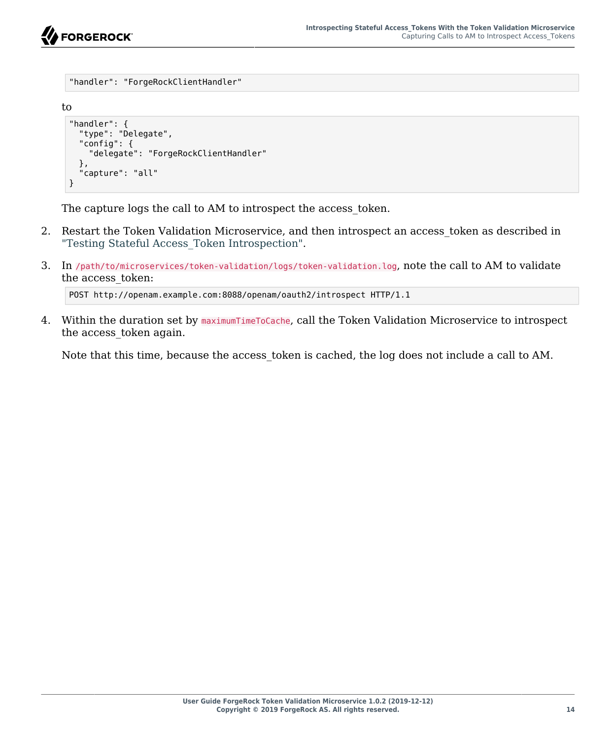

```
"handler": "ForgeRockClientHandler"
to
 "handler": {
    "type": "Delegate",
    "config": {
       "delegate": "ForgeRockClientHandler"
    },
     "capture": "all"
 }
```
The capture logs the call to AM to introspect the access token.

- 2. Restart the Token Validation Microservice, and then introspect an access\_token as described in ["Testing Stateful Access\\_Token Introspection".](#page-16-0)
- 3. In /path/to/microservices/token-validation/logs/token-validation.log, note the call to AM to validate the access\_token:

```
POST http://openam.example.com:8088/openam/oauth2/introspect HTTP/1.1
```
4. Within the duration set by maximumTimeToCache, call the Token Validation Microservice to introspect the access\_token again.

Note that this time, because the access token is cached, the log does not include a call to AM.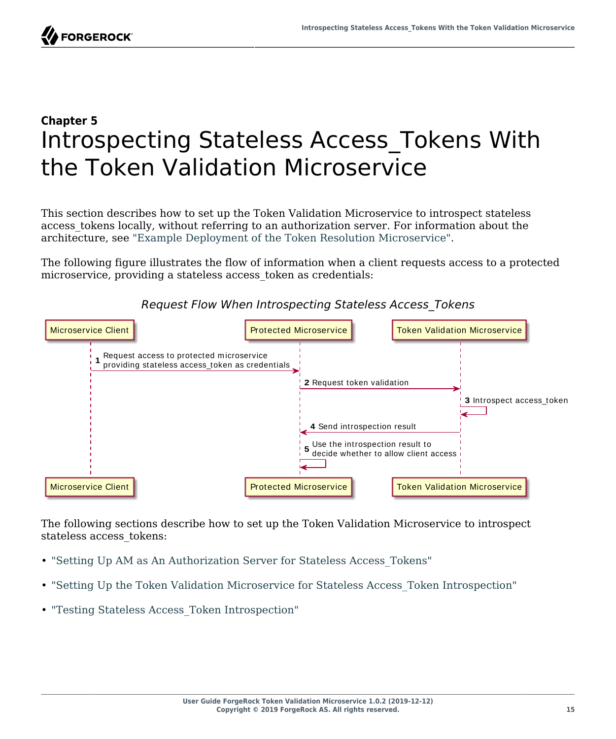

## <span id="page-18-0"></span>**Chapter 5** Introspecting Stateless Access\_Tokens With the Token Validation Microservice

This section describes how to set up the Token Validation Microservice to introspect stateless access tokens locally, without referring to an authorization server. For information about the architecture, see ["Example Deployment of the Token Resolution Microservice"](#page-5-0).

The following figure illustrates the flow of information when a client requests access to a protected microservice, providing a stateless access token as credentials:



#### *Request Flow When Introspecting Stateless Access\_Tokens*

The following sections describe how to set up the Token Validation Microservice to introspect stateless access\_tokens:

- ["Setting Up AM as An Authorization Server for Stateless Access\\_Tokens"](#page-19-0)
- ["Setting Up the Token Validation Microservice for Stateless Access\\_Token Introspection"](#page-20-0)
- ["Testing Stateless Access\\_Token Introspection"](#page-21-0)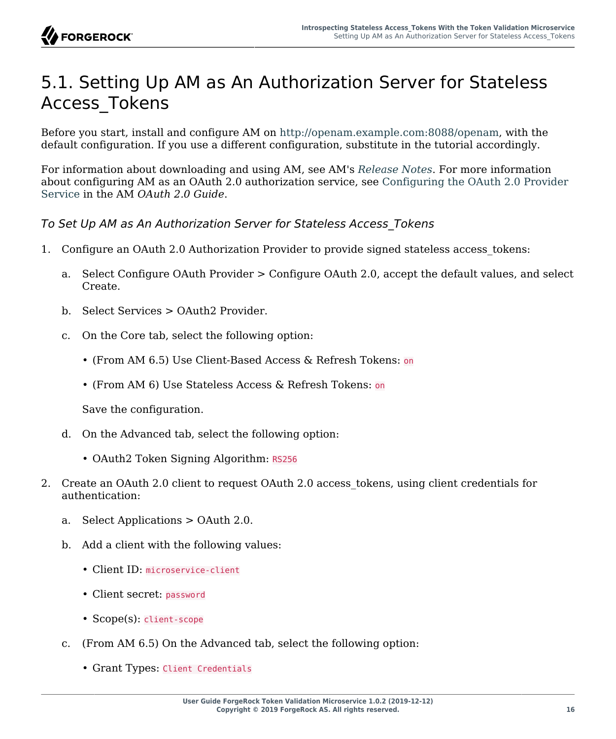### <span id="page-19-0"></span>5.1. Setting Up AM as An Authorization Server for Stateless Access\_Tokens

Before you start, install and configure AM on<http://openam.example.com:8088/openam>, with the default configuration. If you use a different configuration, substitute in the tutorial accordingly.

For information about downloading and using AM, see AM's *[Release Notes](https://backstage.forgerock.com/docs/am/6.5/release-notes/)*. For more information about configuring AM as an OAuth 2.0 authorization service, see [Configuring the OAuth 2.0 Provider](https://backstage.forgerock.com/docs/am/6.5/oauth2-guide/#chap-oauth2-implementation) [Service](https://backstage.forgerock.com/docs/am/6.5/oauth2-guide/#chap-oauth2-implementation) in the AM *OAuth 2.0 Guide*.

*To Set Up AM as An Authorization Server for Stateless Access\_Tokens*

- 1. Configure an OAuth 2.0 Authorization Provider to provide signed stateless access\_tokens:
	- a. Select Configure OAuth Provider > Configure OAuth 2.0, accept the default values, and select Create.
	- b. Select Services > OAuth2 Provider.
	- c. On the Core tab, select the following option:
		- (From AM 6.5) Use Client-Based Access & Refresh Tokens: on
		- (From AM 6) Use Stateless Access & Refresh Tokens: on

Save the configuration.

- d. On the Advanced tab, select the following option:
	- OAuth2 Token Signing Algorithm: RS256
- 2. Create an OAuth 2.0 client to request OAuth 2.0 access tokens, using client credentials for authentication:
	- a. Select Applications > OAuth 2.0.
	- b. Add a client with the following values:
		- Client ID: microservice-client
		- Client secret: password
		- Scope(s): client-scope
	- c. (From AM 6.5) On the Advanced tab, select the following option:
		- Grant Types: Client Credentials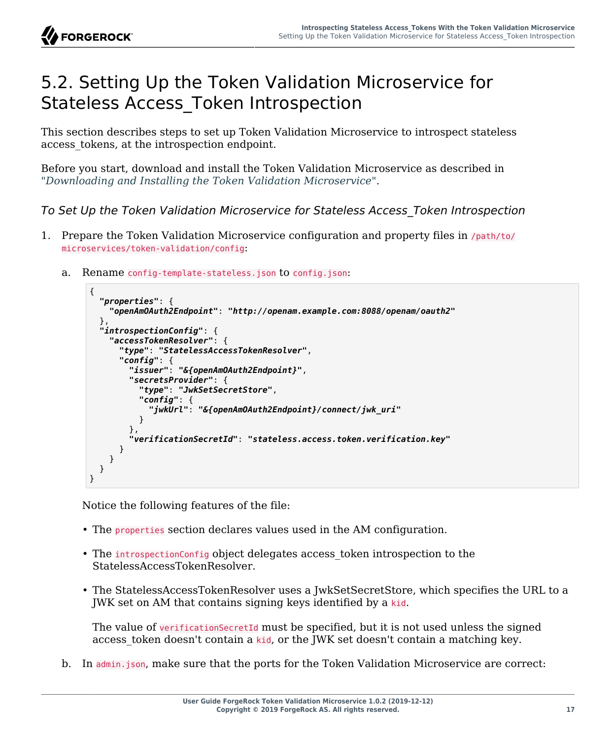

#### <span id="page-20-0"></span>5.2. Setting Up the Token Validation Microservice for Stateless Access\_Token Introspection

This section describes steps to set up Token Validation Microservice to introspect stateless access tokens, at the introspection endpoint.

Before you start, download and install the Token Validation Microservice as described in "*[Downloading and Installing the Token Validation Microservice](#page-7-0)*".

*To Set Up the Token Validation Microservice for Stateless Access\_Token Introspection*

- 1. Prepare the Token Validation Microservice configuration and property files in /path/to/ microservices/token-validation/config:
	- Rename config-template-stateless.json to config.json:

```
{
   "properties": {
     "openAmOAuth2Endpoint": "http://openam.example.com:8088/openam/oauth2"
   },
   "introspectionConfig": {
     "accessTokenResolver": {
       "type": "StatelessAccessTokenResolver",
       "config": {
         "issuer": "&{openAmOAuth2Endpoint}",
         "secretsProvider": {
           "type": "JwkSetSecretStore",
           "config": {
              "jwkUrl": "&{openAmOAuth2Endpoint}/connect/jwk_uri"
 }
         },
         "verificationSecretId": "stateless.access.token.verification.key"
       }
     }
   }
}
```
Notice the following features of the file:

- The properties section declares values used in the AM configuration.
- The introspectionConfig object delegates access token introspection to the StatelessAccessTokenResolver.
- The StatelessAccessTokenResolver uses a JwkSetSecretStore, which specifies the URL to a JWK set on AM that contains signing keys identified by a kid.

The value of verificationSecretId must be specified, but it is not used unless the signed access token doesn't contain a kid, or the JWK set doesn't contain a matching key.

b. In admin.json, make sure that the ports for the Token Validation Microservice are correct: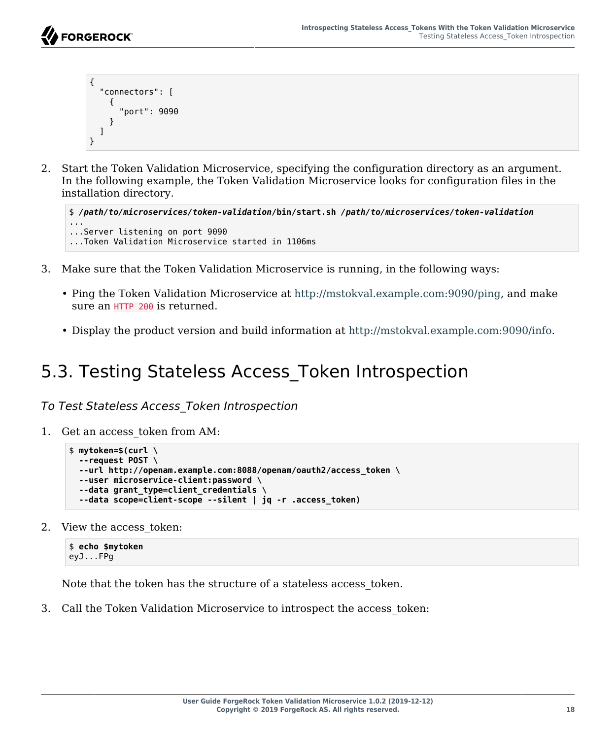```
{
   "connectors": [
      {
        "port": 9090
      }
   ]
}
```
2. Start the Token Validation Microservice, specifying the configuration directory as an argument. In the following example, the Token Validation Microservice looks for configuration files in the installation directory.

```
$ /path/to/microservices/token-validation/bin/start.sh /path/to/microservices/token-validation
...
...Server listening on port 9090
...Token Validation Microservice started in 1106ms
```
- 3. Make sure that the Token Validation Microservice is running, in the following ways:
	- Ping the Token Validation Microservice at [http://mstokval.example.com:9090/ping,](http://mstokval.example.com:9090/ping) and make sure an HTTP 200 is returned.
	- Display the product version and build information at [http://mstokval.example.com:9090/info.](http://mstokval.example.com:9090/info)

#### <span id="page-21-0"></span>5.3. Testing Stateless Access\_Token Introspection

*To Test Stateless Access\_Token Introspection*

1. Get an access\_token from AM:

```
$ mytoken=$(curl \
   --request POST \
   --url http://openam.example.com:8088/openam/oauth2/access_token \
   --user microservice-client:password \
   --data grant_type=client_credentials \
   --data scope=client-scope --silent | jq -r .access_token)
```
2. View the access token:

```
$ echo $mytoken
eyJ...FPg
```
Note that the token has the structure of a stateless access\_token.

3. Call the Token Validation Microservice to introspect the access\_token: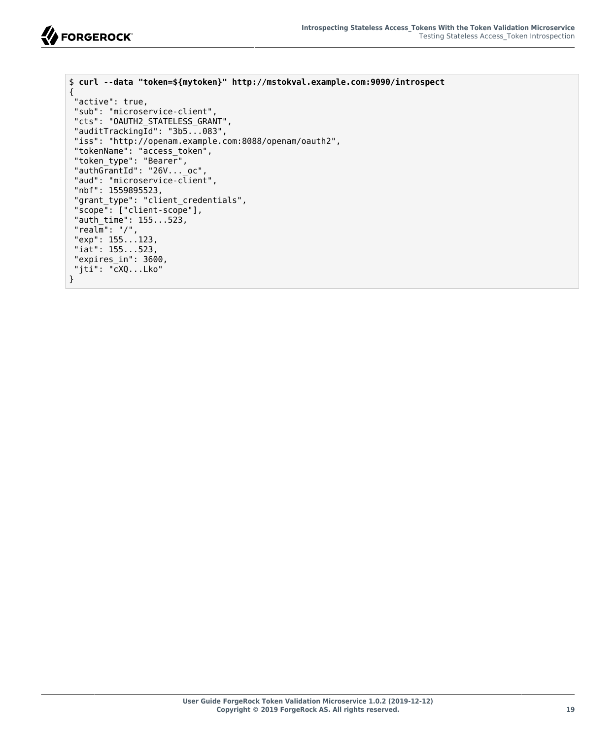```
$ curl --data "token=${mytoken}" http://mstokval.example.com:9090/introspect
{
 "active": true,
  "sub": "microservice-client",
  "cts": "OAUTH2_STATELESS_GRANT",
 "auditTracking\overline{Id}": "3b5...083",
  "iss": "http://openam.example.com:8088/openam/oauth2",
 "tokenName": "access_token",
 "token_type": "Bearer",
  "authGrantId": "26V..._oc",
 "aud": "microservice-client",
  "nbf": 1559895523,
  "grant_type": "client_credentials",
  "scope": ["client-scope"],
  "auth_time": 155...523,
  "realm": "/",
  "exp": 155...123,
  "iat": 155...523,
  "expires_in": 3600,
  "jti": "cXQ...Lko"
}
```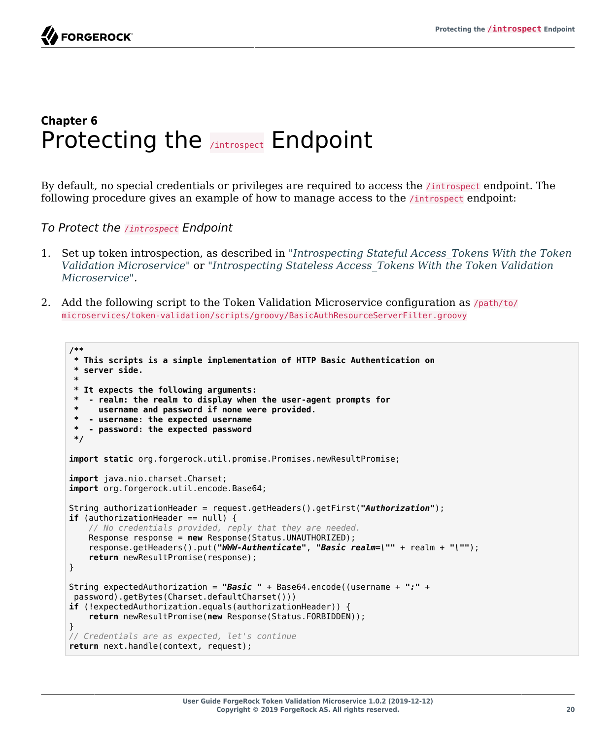

#### <span id="page-23-0"></span>**Chapter 6** Protecting the **/introspect** Endpoint

By default, no special credentials or privileges are required to access the /introspect endpoint. The following procedure gives an example of how to manage access to the *lintrospect* endpoint:

*To Protect the /introspect Endpoint*

- 1. Set up token introspection, as described in "*[Introspecting Stateful Access\\_Tokens With the Token](#page-12-0) [Validation Microservice](#page-12-0)*" or "*[Introspecting Stateless Access\\_Tokens With the Token Validation](#page-18-0) [Microservice](#page-18-0)*".
- 2. Add the following script to the Token Validation Microservice configuration as  $/path/to/$ microservices/token-validation/scripts/groovy/BasicAuthResourceServerFilter.groovy

```
/**
  * This scripts is a simple implementation of HTTP Basic Authentication on
  server side. *
  * It expects the following arguments:
    * - realm: the realm to display when the user-agent prompts for
      username and password if none were provided.
     * - username: the expected username
    * - password: the expected password
  */
import static org.forgerock.util.promise.Promises.newResultPromise;
import java.nio.charset.Charset;
import org.forgerock.util.encode.Base64;
String authorizationHeader = request.getHeaders().getFirst("Authorization");
if (authorizationHeader == null) {
     // No credentials provided, reply that they are needed.
     Response response = new Response(Status.UNAUTHORIZED);
     response.getHeaders().put("WWW-Authenticate", "Basic realm=\"" + realm + "\"");
     return newResultPromise(response);
}
String expectedAuthorization = "Basic " + Base64.encode((username + ":" +
 password).getBytes(Charset.defaultCharset()))
if (!expectedAuthorization.equals(authorizationHeader)) {
     return newResultPromise(new Response(Status.FORBIDDEN));
}
// Credentials are as expected, let's continue
return next.handle(context, request);
```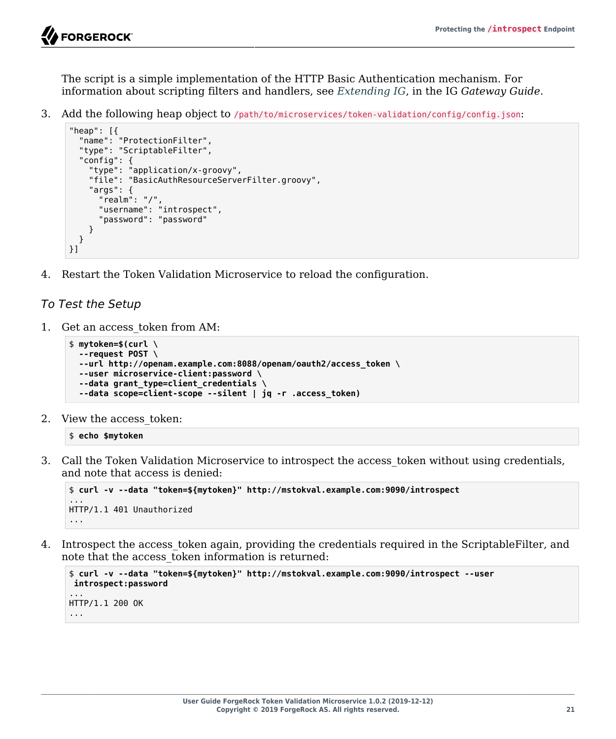

The script is a simple implementation of the HTTP Basic Authentication mechanism. For information about scripting filters and handlers, see *[Extending IG](https://backstage.forgerock.com/docs/ig/6.5/gateway-guide/#chap-extending)*, in the IG *Gateway Guide*.

3. Add the following heap object to /path/to/microservices/token-validation/config/config.json:

```
"heap": [{
   "name": "ProtectionFilter",
   "type": "ScriptableFilter",
   "config": {
     "type": "application/x-groovy",
     "file": "BasicAuthResourceServerFilter.groovy",
     "args": {
       "realm": "/",
       "username": "introspect",
       "password": "password"
     }
   }
}]
```
4. Restart the Token Validation Microservice to reload the configuration.

#### *To Test the Setup*

1. Get an access\_token from AM:

```
$ mytoken=$(curl \
   --request POST \
   --url http://openam.example.com:8088/openam/oauth2/access_token \
   --user microservice-client:password \
   --data grant_type=client_credentials \
   --data scope=client-scope --silent | jq -r .access_token)
```
2. View the access\_token:

#### \$ **echo \$mytoken**

3. Call the Token Validation Microservice to introspect the access token without using credentials, and note that access is denied:

```
$ curl -v --data "token=${mytoken}" http://mstokval.example.com:9090/introspect
...
HTTP/1.1 401 Unauthorized
...
```
4. Introspect the access token again, providing the credentials required in the ScriptableFilter, and note that the access\_token information is returned:

```
$ curl -v --data "token=${mytoken}" http://mstokval.example.com:9090/introspect --user
 introspect:password
...
HTTP/1.1 200 OK
...
```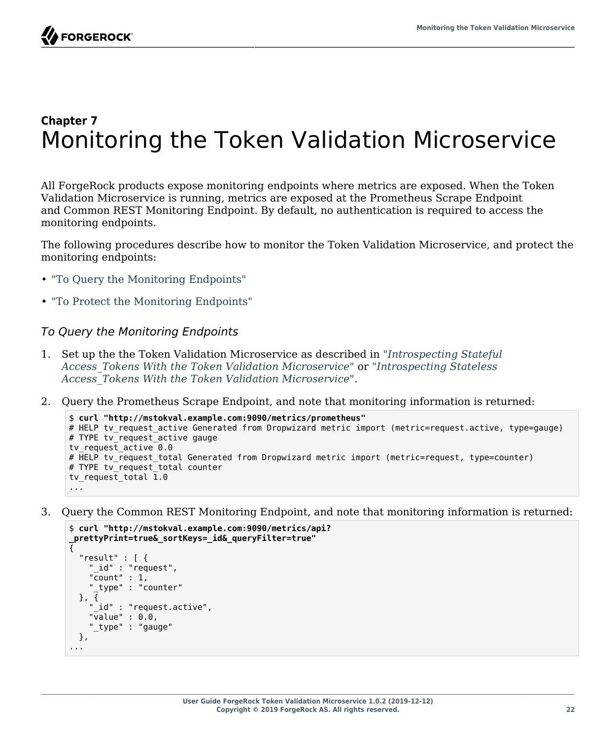### <span id="page-25-0"></span>**Chapter 7** Monitoring the Token Validation Microservice

All ForgeRock products expose monitoring endpoints where metrics are exposed. When the Token Validation Microservice is running, metrics are exposed at the Prometheus Scrape Endpoint and Common REST Monitoring Endpoint. By default, no authentication is required to access the monitoring endpoints.

The following procedures describe how to monitor the Token Validation Microservice, and protect the monitoring endpoints:

- ["To Query the Monitoring Endpoints"](#page-25-1)
- <span id="page-25-1"></span>• ["To Protect the Monitoring Endpoints"](#page-26-0)

#### *To Query the Monitoring Endpoints*

- 1. Set up the the Token Validation Microservice as described in "*[Introspecting Stateful](#page-12-0) [Access\\_Tokens With the Token Validation Microservice](#page-12-0)*" or "*[Introspecting Stateless](#page-18-0) [Access\\_Tokens With the Token Validation Microservice](#page-18-0)*".
- 2. Query the Prometheus Scrape Endpoint, and note that monitoring information is returned:

```
$ curl "http://mstokval.example.com:9090/metrics/prometheus"
# HELP tv request active Generated from Dropwizard metric import (metric=request.active, type=gauge)
# TYPE tv request active gauge
tv request active 0.0
# HELP tv_request_total Generated from Dropwizard metric import (metric=request, type=counter)
# TYPE tv request total counter
tv_request_total 1.0
...
```
3. Query the Common REST Monitoring Endpoint, and note that monitoring information is returned:

```
$ curl "http://mstokval.example.com:9090/metrics/api?
_prettyPrint=true&_sortKeys=_id&_queryFilter=true"
{
   "result" : [ {
     "_id" : "request",
     "count" : 1,
     "_type" : "counter"
 }, { }_{\lbrack ,}id" : "request.active",
     "value" : 0.0,
     "_type" : "gauge"
  },
...
```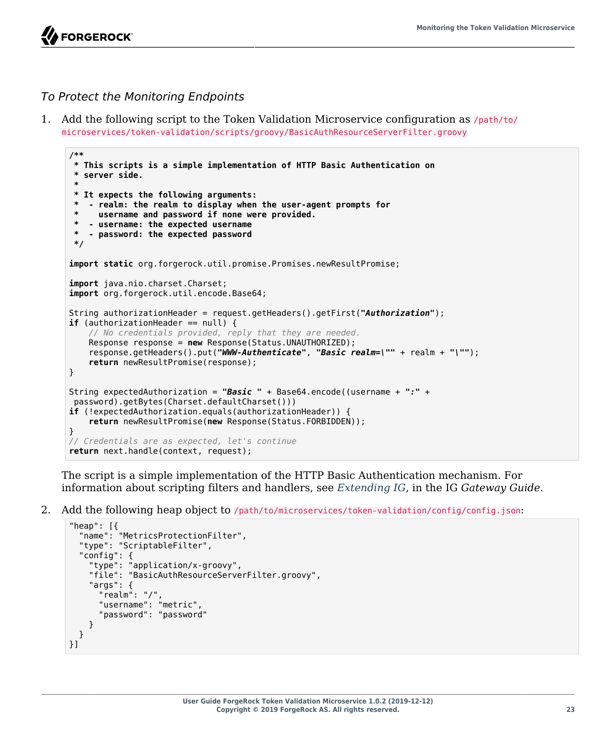**FORGEROCK** 

#### <span id="page-26-0"></span>*To Protect the Monitoring Endpoints*

1. Add the following script to the Token Validation Microservice configuration as /path/to/ microservices/token-validation/scripts/groovy/BasicAuthResourceServerFilter.groovy

```
/**
  * This scripts is a simple implementation of HTTP Basic Authentication on
  * server side.
 *
  * It expects the following arguments:
   * - realm: the realm to display when the user-agent prompts for
  * username and password if none were provided.
  * - username: the expected username
   * - password: the expected password
  */
import static org.forgerock.util.promise.Promises.newResultPromise;
import java.nio.charset.Charset;
import org.forgerock.util.encode.Base64;
String authorizationHeader = request.getHeaders().getFirst("Authorization");
if (authorizationHeader == null) {
     // No credentials provided, reply that they are needed.
     Response response = new Response(Status.UNAUTHORIZED);
     response.getHeaders().put("WWW-Authenticate", "Basic realm=\"" + realm + "\"");
     return newResultPromise(response);
}
String expectedAuthorization = "Basic " + Base64.encode((username + ":" +
 password).getBytes(Charset.defaultCharset()))
if (!expectedAuthorization.equals(authorizationHeader)) {
     return newResultPromise(new Response(Status.FORBIDDEN));
}
// Credentials are as expected, let's continue
return next.handle(context, request);
```
The script is a simple implementation of the HTTP Basic Authentication mechanism. For information about scripting filters and handlers, see *[Extending IG](https://backstage.forgerock.com/docs/ig/6.5/gateway-guide/#chap-extending)*, in the IG *Gateway Guide*.

2. Add the following heap object to /path/to/microservices/token-validation/config/config.json:

```
"heap": [{
   "name": "MetricsProtectionFilter",
   "type": "ScriptableFilter",
   "config": {
     "type": "application/x-groovy",
     "file": "BasicAuthResourceServerFilter.groovy",
     "args": {
       "realm": "/",
       "username": "metric",
       "password": "password"
     }
   }
}]
```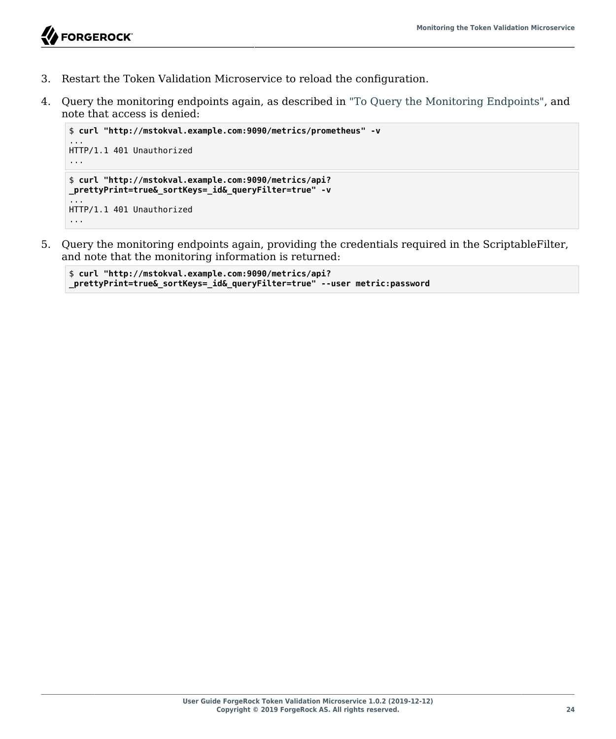

- 3. Restart the Token Validation Microservice to reload the configuration.
- 4. Query the monitoring endpoints again, as described in ["To Query the Monitoring Endpoints"](#page-25-1), and note that access is denied:

```
$ curl "http://mstokval.example.com:9090/metrics/prometheus" -v
...
HTTP/1.1 401 Unauthorized
...
$ curl "http://mstokval.example.com:9090/metrics/api?
_prettyPrint=true&_sortKeys=_id&_queryFilter=true" -v
...
HTTP/1.1 401 Unauthorized
...
```
5. Query the monitoring endpoints again, providing the credentials required in the ScriptableFilter, and note that the monitoring information is returned:

```
$ curl "http://mstokval.example.com:9090/metrics/api?
_prettyPrint=true&_sortKeys=_id&_queryFilter=true" --user metric:password
```